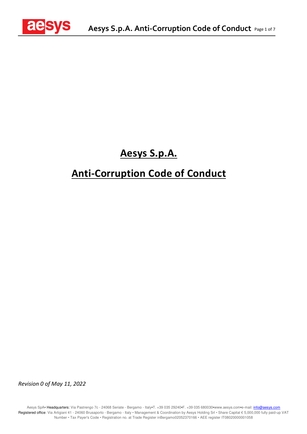

# **Aesys S.p.A.**

# **Anti-Corruption Code of Conduct**

*Revision 0 of May 11, 2022*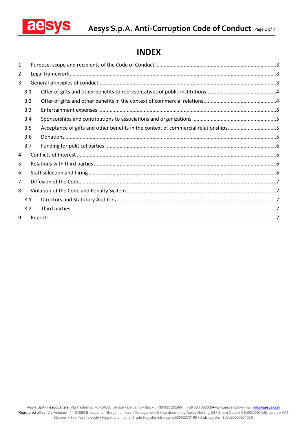

## **INDEX**

| 1 |     |                                                                                    |
|---|-----|------------------------------------------------------------------------------------|
| 2 |     |                                                                                    |
| 3 |     |                                                                                    |
|   | 3.1 |                                                                                    |
|   | 3.2 |                                                                                    |
|   | 3.3 |                                                                                    |
|   | 3.4 |                                                                                    |
|   | 3.5 | Acceptance of gifts and other benefits in the context of commercial relationships5 |
|   | 3.6 |                                                                                    |
|   | 3.7 |                                                                                    |
| 4 |     |                                                                                    |
| 5 |     |                                                                                    |
| 6 |     |                                                                                    |
| 7 |     |                                                                                    |
| 8 |     |                                                                                    |
|   | 8.1 |                                                                                    |
|   | 8.2 |                                                                                    |
| 9 |     |                                                                                    |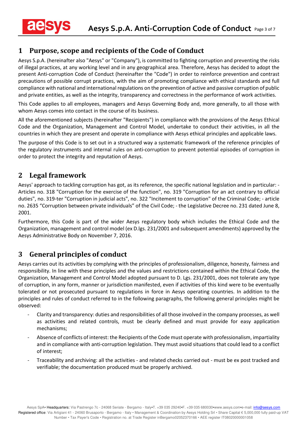## **1 Purpose, scope and recipients of the Code of Conduct**

Aesys S.p.A. (hereinafter also "Aesys" or "Company"), is committed to fighting corruption and preventing the risks of illegal practices, at any working level and in any geographical area. Therefore, Aesys has decided to adopt the present Anti-corruption Code of Conduct (hereinafter the "Code") in order to reinforce prevention and contrast precautions of possible corrupt practices, with the aim of promoting compliance with ethical standards and full compliance with national and international regulations on the prevention of active and passive corruption of public and private entities, as well as the integrity, transparency and correctness in the performance of work activities.

This Code applies to all employees, managers and Aesys Governing Body and, more generally, to all those with whom Aesys comes into contact in the course of its business.

All the aforementioned subjects (hereinafter "Recipients") in compliance with the provisions of the Aesys Ethical Code and the Organization, Management and Control Model, undertake to conduct their activities, in all the countries in which they are present and operate in compliance with Aesys ethical principles and applicable laws.

The purpose of this Code is to set out in a structured way a systematic framework of the reference principles of the regulatory instruments and internal rules on anti-corruption to prevent potential episodes of corruption in order to protect the integrity and reputation of Aesys.

## **2 Legal framework**

Aesys' approach to tackling corruption has got, as its reference, the specific national legislation and in particular: - Articles no. 318 "Corruption for the exercise of the function", no. 319 "Corruption for an act contrary to official duties", no. 319-ter "Corruption in judicial acts", no. 322 "Incitement to corruption" of the Criminal Code; - article no. 2635 "Corruption between private individuals" of the Civil Code; - the Legislative Decree no. 231 dated June 8, 2001.

Furthermore, this Code is part of the wider Aesys regulatory body which includes the Ethical Code and the Organization, management and control model (ex D.lgs. 231/2001 and subsequent amendments) approved by the Aesys Administrative Body on November 7, 2016.

## **3 General principles of conduct**

Aesys carries out its activities by complying with the principles of professionalism, diligence, honesty, fairness and responsibility. In line with these principles and the values and restrictions contained within the Ethical Code, the Organization, Management and Control Model adopted pursuant to D. Lgs. 231/2001, does not tolerate any type of corruption, in any form, manner or jurisdiction manifested, even if activities of this kind were to be eventually tolerated or not prosecuted pursuant to regulations in force in Aesys operating countries. In addition to the principles and rules of conduct referred to in the following paragraphs, the following general principles might be observed:

- Clarity and transparency: duties and responsibilities of all those involved in the company processes, as well as activities and related controls, must be clearly defined and must provide for easy application mechanisms;
- Absence of conflicts of interest: the Recipients of the Code must operate with professionalism, impartiality and in compliance with anti-corruption legislation. They must avoid situations that could lead to a conflict of interest;
- Traceability and archiving: all the activities and related checks carried out must be ex post tracked and verifiable; the documentation produced must be properly archived.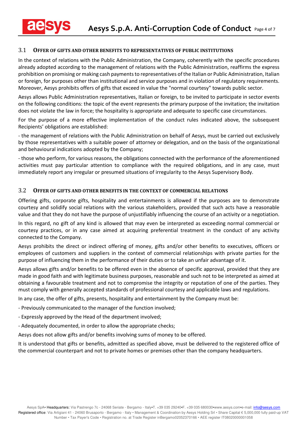#### 3.1 **OFFER OF GIFTS AND OTHER BENEFITS TO REPRESENTATIVES OF PUBLIC INSTITUTIONS**

In the context of relations with the Public Administration, the Company, coherently with the specific procedures already adopted according to the management of relations with the Public Administration, reaffirms the express prohibition on promising or making cash payments to representatives of the Italian or Public Administration, Italian or foreign, for purposes other than institutional and service purposes and in violation of regulatory requirements. Moreover, Aesys prohibits offers of gifts that exceed in value the "normal courtesy" towards public sector.

Aesys allows Public Administration representatives, Italian or foreign, to be invited to participate in sector events on the following conditions: the topic of the event represents the primary purpose of the invitation; the invitation does not violate the law in force; the hospitality is appropriate and adequate to specific case circumstances.

For the purpose of a more effective implementation of the conduct rules indicated above, the subsequent Recipients' obligations are established:

- the management of relations with the Public Administration on behalf of Aesys, must be carried out exclusively by those representatives with a suitable power of attorney or delegation, and on the basis of the organizational and behavioural indications adopted by the Company;

- those who perform, for various reasons, the obligations connected with the performance of the aforementioned activities must pay particular attention to compliance with the required obligations, and in any case, must immediately report any irregular or presumed situations of irregularity to the Aesys Supervisory Body.

#### 3.2 **OFFER OF GIFTS AND OTHER BENEFITS IN THE CONTEXT OF COMMERCIAL RELATIONS**

Offering gifts, corporate gifts, hospitality and entertainments is allowed if the purposes are to demonstrate courtesy and solidify social relations with the various stakeholders, provided that such acts have a reasonable value and that they do not have the purpose of unjustifiably influencing the course of an activity or a negotiation.

In this regard, no gift of any kind is allowed that may even be interpreted as exceeding normal commercial or courtesy practices, or in any case aimed at acquiring preferential treatment in the conduct of any activity connected to the Company.

Aesys prohibits the direct or indirect offering of money, gifts and/or other benefits to executives, officers or employees of customers and suppliers in the context of commercial relationships with private parties for the purpose of influencing them in the performance of their duties or to take an unfair advantage of it.

Aesys allows gifts and/or benefits to be offered even in the absence of specific approval, provided that they are made in good faith and with legitimate business purposes, reasonable and such not to be interpreted as aimed at obtaining a favourable treatment and not to compromise the integrity or reputation of one of the parties. They must comply with generally accepted standards of professional courtesy and applicable laws and regulations.

In any case, the offer of gifts, presents, hospitality and entertainment by the Company must be:

- Previously communicated to the manager of the function involved;
- Expressly approved by the Head of the department involved;
- Adequately documented, in order to allow the appropriate checks;

Aesys does not allow gifts and/or benefits involving sums of money to be offered.

It is understood that gifts or benefits, admitted as specified above, must be delivered to the registered office of the commercial counterpart and not to private homes or premises other than the company headquarters.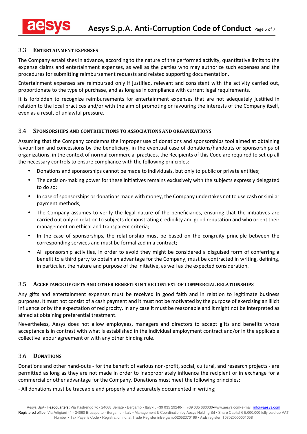#### 3.3 **ENTERTAINMENT EXPENSES**

The Company establishes in advance, according to the nature of the performed activity, quantitative limits to the expense claims and entertainment expenses, as well as the parties who may authorize such expenses and the procedures for submitting reimbursement requests and related supporting documentation.

Entertainment expenses are reimbursed only if justified, relevant and consistent with the activity carried out, proportionate to the type of purchase, and as long as in compliance with current legal requirements.

It is forbidden to recognize reimbursements for entertainment expenses that are not adequately justified in relation to the local practices and/or with the aim of promoting or favouring the interests of the Company itself, even as a result of unlawful pressure.

#### 3.4 **SPONSORSHIPS AND CONTRIBUTIONS TO ASSOCIATIONS AND ORGANIZATIONS**

Assuming that the Company condemns the improper use of donations and sponsorships tool aimed at obtaining favouritism and concessions by the beneficiary, in the eventual case of donations/handouts or sponsorships of organizations, in the context of normal commercial practices, the Recipients of this Code are required to set up all the necessary controls to ensure compliance with the following principles:

- Donations and sponsorships cannot be made to individuals, but only to public or private entities;
- The decision-making power for these initiatives remains exclusively with the subjects expressly delegated to do so;
- In case of sponsorships or donations made with money, the Company undertakes not to use cash or similar payment methods;
- The Company assumes to verify the legal nature of the beneficiaries, ensuring that the initiatives are carried out only in relation to subjects demonstrating credibility and good reputation and who orient their management on ethical and transparent criteria;
- In the case of sponsorships, the relationship must be based on the congruity principle between the corresponding services and must be formalized in a contract;
- All sponsorship activities, in order to avoid they might be considered a disguised form of conferring a benefit to a third party to obtain an advantage for the Company, must be contracted in writing, defining, in particular, the nature and purpose of the initiative, as well as the expected consideration.

#### 3.5 **ACCEPTANCE OF GIFTS AND OTHER BENEFITS IN THE CONTEXT OF COMMERCIAL RELATIONSHIPS**

Any gifts and entertainment expenses must be received in good faith and in relation to legitimate business purposes. It must not consist of a cash payment and it must not be motivated by the purpose of exercising an illicit influence or by the expectation of reciprocity. In any case it must be reasonable and it might not be interpreted as aimed at obtaining preferential treatment.

Nevertheless, Aesys does not allow employees, managers and directors to accept gifts and benefits whose acceptance is in contrast with what is established in the individual employment contract and/or in the applicable collective labour agreement or with any other binding rule.

#### 3.6 **DONATIONS**

Donations and other hand-outs - for the benefit of various non-profit, social, cultural, and research projects - are permitted as long as they are not made in order to inappropriately influence the recipient or in exchange for a commercial or other advantage for the Company. Donations must meet the following principles:

- All donations must be traceable and properly and accurately documented in writing;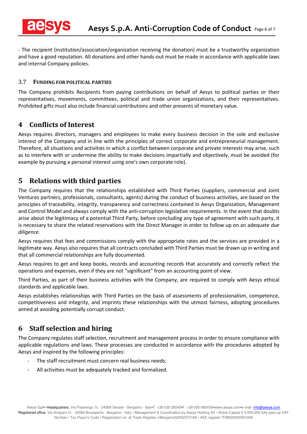- The recipient (institution/association/organization receiving the donation) must be a trustworthy organization and have a good reputation. All donations and other hands-out must be made in accordance with applicable laws and internal Company policies.

#### 3.7 **FUNDING FOR POLITICAL PARTIES**

The Company prohibits Recipients from paying contributions on behalf of Aesys to political parties or their representatives, movements, committees, political and trade union organizations, and their representatives. Prohibited gifts must also include financial contributions and other presents of monetary value.

## **4 Conflicts of Interest**

Aesys requires directors, managers and employees to make every business decision in the sole and exclusive interest of the Company and in line with the principles of correct corporate and entrepreneurial management. Therefore, all situations and activities in which a conflict between corporate and private interests may arise, such as to interfere with or undermine the ability to make decisions impartially and objectively, must be avoided (for example by pursuing a personal interest using one's own corporate role).

## **5 Relations with third parties**

The Company requires that the relationships established with Third Parties (suppliers, commercial and Joint Ventures partners, professionals, consultants, agents) during the conduct of business activities, are based on the principles of traceability, integrity, transparency and correctness contained in Aesys Organization, Management and Control Model and always comply with the anti-corruption legislative requirements. In the event that doubts arise about the legitimacy of a potential Third Party, before concluding any type of agreement with such party, it is necessary to share the related reservations with the Direct Manager in order to follow up on an adequate *due diligence*.

Aesys requires that fees and commissions comply with the appropriate rates and the services are provided in a legitimate way. Aesys also requires that all contracts concluded with Third Parties must be drawn up in writing and that all commercial relationships are fully documented.

Aesys requires to get and keep books, records and accounting records that accurately and correctly reflect the operations and expenses, even if they are not "significant" from an accounting point of view.

Third Parties, as part of their business activities with the Company, are required to comply with Aesys ethical standards and applicable laws.

Aesys establishes relationships with Third Parties on the basis of assessments of professionalism, competence, competitiveness and integrity, and imprints these relationships with the utmost fairness, adopting procedures aimed at avoiding potentially corrupt conduct.

## **6 Staff selection and hiring**

The Company regulates staff selection, recruitment and management process in order to ensure compliance with applicable regulations and laws. These processes are conducted in accordance with the procedures adopted by Aesys and inspired by the following principles:

- The staff recruitment must concern real business needs;
- All activities must be adequately tracked and formalized.